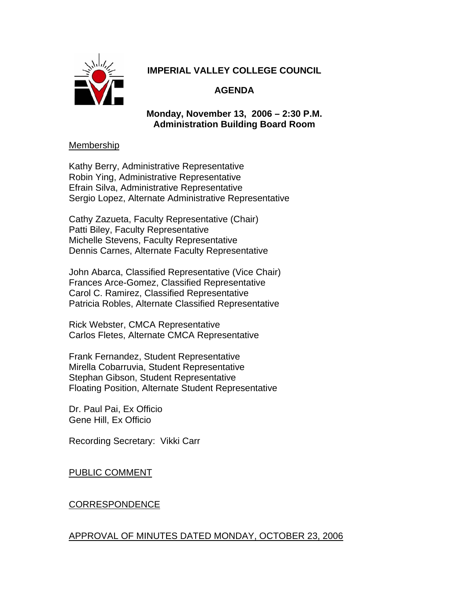

# **IMPERIAL VALLEY COLLEGE COUNCIL**

# **AGENDA**

**Monday, November 13, 2006 – 2:30 P.M. Administration Building Board Room** 

### Membership

Kathy Berry, Administrative Representative Robin Ying, Administrative Representative Efrain Silva, Administrative Representative Sergio Lopez, Alternate Administrative Representative

Cathy Zazueta, Faculty Representative (Chair) Patti Biley, Faculty Representative Michelle Stevens, Faculty Representative Dennis Carnes, Alternate Faculty Representative

John Abarca, Classified Representative (Vice Chair) Frances Arce-Gomez, Classified Representative Carol C. Ramirez, Classified Representative Patricia Robles, Alternate Classified Representative

Rick Webster, CMCA Representative Carlos Fletes, Alternate CMCA Representative

Frank Fernandez, Student Representative Mirella Cobarruvia, Student Representative Stephan Gibson, Student Representative Floating Position, Alternate Student Representative

Dr. Paul Pai, Ex Officio Gene Hill, Ex Officio

Recording Secretary: Vikki Carr

PUBLIC COMMENT

# CORRESPONDENCE

## APPROVAL OF MINUTES DATED MONDAY, OCTOBER 23, 2006